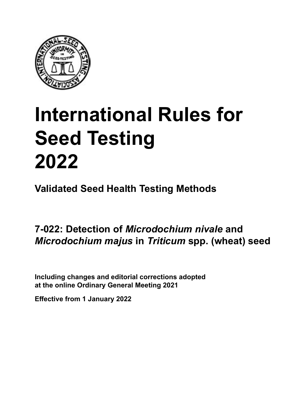

# **International Rules for Seed Testing von Saatgut 2022 2022 Semences 2022 International Rules for Seed Testing 2022**

**Métodos Validados para Análisis de Sanidad de Semillas Validate Méthodes Validées pour Analyse Sanitaire des Semences Validated Seed Health Testing Methods**

#### **7‑022: Detección de** *Microdochium nivale* **y Nachweis von** *Microdochium nivale* **und 7‑022 : Méthode sur milieu pour la détection de**  *Microdochium majus* **en semillas de** *Triticum* **spp. (trigo) Expressive contracts** with the *Triticum* spp. *(whoot)* sees **(Weizen)** *nivale* **et** *Microdochium majus* **sur semences de** *Triticum* **spp. (blé) 7‑022: Detection of** *Microdochium nivale* **and**  *Microdochium majus* **in** *Triticum* **spp. (wheat) seed**

Including changes and editorial corrections adopted at the online Ordinary General Meeting 2021

**Effective from 1 January 2022**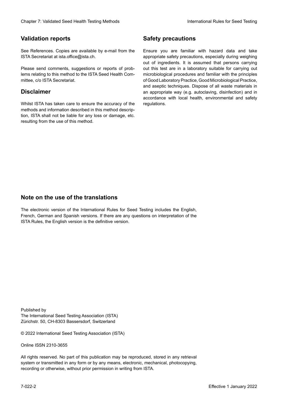## **Validation reports**

See References. Copies are available by e-mail from the<br>ISTA Secretariat at ista.office@ista.ch. ISTA Secretariat at ista.office@ista.ch.

lems relating to this method to the ISTA Seed Health Com-<br>mittee, c/o ISTA Secretariat. mittee, c/o ISTA Secretariat.<br>i Please send comments, suggestions or reports of prob-

## **Limitation de responsabilité Disclaimer**

Whilst ISTA has taken care to ensure the accuracy of the<br>methods and information described in this method description, ISTA shall not be liable for any loss or damage, etc.<br>resulting from the use of this method.<br>. resulting from the use of this method. Whilst ISTA has taken care to ensure the accuracy of the methods and information described in this method descrip-<br>tion, ISTA shall not be liable for any loss or damage, etc. tion, ISTA shall not be liable for any loss or damage, etc.<br>resulting from the use of this method.

## **Medidas de seguridad Sicherheitsmaßnahmen Sécurité Safety precautions**

Ensure you are familiar with hazard data and take Ensure you are familiar with hazard data and take<br>appropriate safety precautions, especially during weighing out of ingredients. It is assumed that persons carrying out this test are in a laboratory suitable for carrying out microbiological procedures and familiar with the principles of Good Laboratory Practice, Good Microbiological Practice, and aseptic techniques. Dispose of all waste materials in an appropriate way (e.g. autoclaving, disinfection) and in accordance with local health, environmental and safety regulations. Glade 7: Validated Deed Health Testing holesdos<br>
Validation reports<br>
Safety precedure and also recedure to the same of the same of the same of the based delar and shift<br>
CM December 2022Validation and also present of produ microbiological procedures and familiar with the principles<br>of Good Laboratory Practice, Good Microbiological Practice,<br>and aseptic techniques. Dispose of all waste materials in<br>an appropriate way (e.g. autoclaving, disinf fallstoffe sind auf geeignete Weise und entsprechend der vor Ort über der vor Ort über und Umwelt- und Umwelt-<br>Eine und Umwelt-Effective Counter of Nicholas Devel Teach Teach Teach Devel Safety precedutions<br>
Validation reports<br>
Safety precedution reports and the symbol state of the sementic of the symbol state of the based delay and share<br>
Propose of Good Laboratory Practice, Good Microbiological Practice,<br>and aseptic techniques. Dispose of all waste materials in<br>an appropriate way (e.g. autoclaving, disinfection) and in Validation reports<br>
Since The Texture 1988 and the methods of the state of the state of the state of the state of the Since Conserved at a substitute of the Since Conserved at a substitute of the Since Conserved at the sta Ensure you are familiar with hazard data and take<br>appropriate safety precautions, especially during weighing<br>out of ingredients. It is assumed that persons carrying<br>out this test are in a laboratory suitable for carrying o

## **Nota sobre el uso de traducciones Anmerkung zur Benutzung der Übersetzungen Note on the use of the translations**

The electronic version of the International Rules for Seed Testing includes the English, French, German and Spanish versions. If there are any questions on interpretation of the ISTA Rules, the English version is the definitive version. The electronic version of the International Rules for Seed Testing includes the English,<br>French, German and Spanish versions. If there are any questions on interpretation of the<br>ISTA Rules, the English version is the defin The electronic version of the International Rules for Seed Testing includes the English,<br>French, German and Spanish versions. If there are any questions on interpretation of the

Published by **Extending Association (ISTA)** The International Seed Testing Association (ISTA) Zürichstr. 50, CH-8303 Bassersdorf, Switzerland

© 2022 International Seed Testing Association (ISTA)

Alle Rechte vorbehalten. Kein Teil dieses Werkes darf in irgendwelcher Form oder durch Online ISSN 2310-3655

All rights reserved. No part of this publication may be reproduced, stored in any retrieval All rights reserved. No part of this publication may be reproduced, stored in any retrieval<br>system or transmitted in any form or by any means, electronic, mechanical, photocopying,<br>recording or otherwise, without prior per recording or otherwise, without prior permis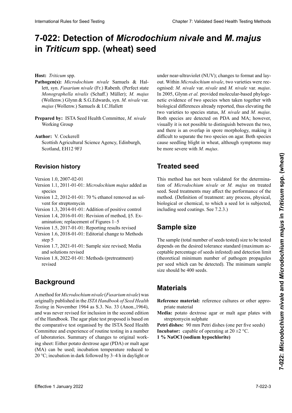# 7-022: Detection of *Microdochium nivale* and *M. majus* in *Triticum* spp. (wheat) seed **contains the container and the container**

**Wirtspflanze:** *Triticum* spp. **Hôte :** *Triticum* spp. **Host:** *Triticum* spp.

- lett, syn. Fusarium nivale (Fr.) Rabenh. (Perfect state Monographella nivalis (Schaff.) Müller); M. majus (Wollenw.) Glynn & S.G.Edwards, syn. M. nivale var. *Monographella nivalis* (Schaff.) Müller); *M. majus nivale* var. *majus* (Wollenw.) Samuels & I.C.Hallett *majus* (Wollenw.) Samuels & I.C.Hallett *majus* (Wollenw.) Samuels & I.C.Hallett (Wolfen Willeman) Generaties of Technical Pathogen(s): Microdochium nivale Samuels & Hal-
- **Prepared by:** JSTA Seed Health Committee, *M. nivale* **Preparado por:** ISTA Seed Health Committee, *M. nivale* parea by e-154 **Prepared by:** ISTA Seed Health Committee, *M. nivale*<br>*Working Crown nivale* Working Group

Author: V. Cockerell  $S_{\text{c}}$  and  $S_{\text{c}}$  and  $S_{\text{c}}$  and  $S_{\text{c}}$  are  $S_{\text{c}}$ . Equal or  $E$ **Author:** V. Cockerent<br>
Science **19** Science Science Science Science Science Science Science Science Science Science Science Science Science

**SCOUISH Agricuit** Scotland, EH12 9FJ Scotlish Agricultur<br>Quide EH12.9F Scottish Agricultural Science Agency, Edinburgh,

#### **Revisionsstand Historique de la révision Revision history**

**Historial de revisiones** Version 1.0, 2007-02-01 Version 1.1, 2011-01-01: *Microdochium majus* als Spezi-2011-01-01 : Addition de *Microdochium* Version 1.0, 2007-02-01

- Version 1.1, 2011-01-01: *Microdochium majus* added as Versión 1.1, 2011-01-01: Se agrega *Microdochium majus* Version 1.2, 2012-01-01: Ethanol als Lösungsmittel für species
- Version 1.2, 2012-01-01: 70 % ethanol removed as solvent for streptomycin

Version 1.3, 2014-01-01: Addition of positive control

- Version 1.4, 2016-01-01: Revision of method,  $\S$ 5. Examination; replacement of Figures  $1-5$
- Version 1.5, 2017-01-01: Reporting results revised
- Version 1.6, 2018-01-01: Editorial change to Methods  $step 5$  $step 5$ step 5
- Version 1.7, 2021-01-01: Sample size revised; Media and solutions revised
- Version 1.8, 2022-01-01: Methods (pretreatment) revised

#### **Antecedentes** Eine Methode für *Microdochium nivale* (*Fusarium nivale*) **Background**

originally published in the ISTA Handbook of Seed Health Testing in November 1964 as S.3. No. 33 (Anon., 1964), results in November 1994 as 3.5. No. 39 (Thom.,1994),<br>and was never revised for inclusion in the second edition<br>of the Handbook. The agar plate test proposed is based on<br>the comparative test organised by the ISTA Seed Heal  $(4 \times 1)$  1964)  $(4 \times 1)$  1964)  $(4 \times 1)$  1964  $\sigma$  and  $\sigma$  and  $\sigma$  and  $\sigma$  and  $\sigma$  and  $\sigma$  and  $\sigma$  and  $\sigma$  and  $\sigma$  and  $\sigma$ the comparative test organised by the ISTA Seed Health Committee and experience of routine testing in a number of laboratories. Summary of changes to original working sheet: Either potato dextrose agar (PDA) or malt agar (MA) can be used; incubation temperature reduced to 20 °C; incubation in dark followed by 3–4 h in daylight or A method for *Microdochium nivale* (*Fusarium nivale*) was of the Handbook. The agar plate test proposed is based on<br>the comparative test organised by the ISTA Seed Health Ing sheet: Ether polato dextrose agar (PDA) or mail agar<br>(MA) can be used; incubation temperature reduced to<br>20 °C; incubation in dark followed by 3–4 h in daylight or 20 °C; incubation in dark followed by 3–4 h in daylight or

ognised: *M. nivale var. nivale and M. nivale var. majus.*<br>In 2005, Glynn et al. provided molecular-based phyloge-In 2005, Glynn *et al.* provided molecular-based phylogenetic evidence of two species when taken together with 2005, Glynn *et al*., proporcionaron evidencias moleculares *et al.* den molekulargenetisch-basierten phylogenetischen biological differences already reported, thus elevating the filogenéticas de dos especies, cuando se tomó en conside-Nachweis, dass beide Varietäten unter Einbeziehung der two varieties to species status, *M. nivale* and *M. majus*. First varieties to opposed status, *m. molto and MA*; however, Both species are detected on PDA and MA; however, bom species are acceded on TBA and MA, however, whether *M. n is* not possible to distinguish between the two, and there is an overlap in spore morphology, making it  $t_{\text{ref}}$  and there is an overlap in spore inorphology, making it  $\frac{p}{p}$  difficult to separate the two species on agai. Dotti species cause seedling blight in wheat, although symptoms may separar las dos especies en agar. Ambas especies causan el Differenzierung beider Arten auf Agar schwierig ist. Beide Arten verursachen Schneeschimmel an Weizen, wobei die be more severe with *M. majus*. **Hunter** *Trichaus* mpi est annual state of the state and the state and the state of the state of the state of the state of the state of the state of the state of the state of the state of the state of the state of the st out. Within *Microdochium nivale*, two varieties were rec-Both species are detected on PDA and MA; however,<br>visually it is not possible to distinguish between the two, and there is an overlap in spore morphology, making it netic evidence of two species when taken together with<br>biological differences already reported, thus elevating the<br>two varieties to species status, M. nivale and M. majus.<br>Both species are detected on PDA and MA; however,<br> **Mexican entrepreneurs in the same of the same of the same of the same of the same of the same of the same of the same of the same of the same of the same of the same of the same of the same of the same of the same of the** International Rules for Seed Testing Company Chapter 7: Validated Seed Testing Rules for Chapter 2: **Detection of Microdochium niveale and M. majus in Triticum Spp. (wheat) Seed Testing Chapter 8: Weight Seed Health Testi** under near-ultraviolet (NUV); changes to format and lay-

#### pueden ser más severos con *M. majus*. **Treated seed**

This method has not be seed. Seed treatments may affect the performance of the method. (Definition of treatment: any process, physical, biological or chemical, to which a seed lot is subjected, including seed coatings. See 7.2.3.) **Behandeltes (gebeiztes) Saatgut** de *Microdochium nivale* sur semences traitées. Les traitetion of *Microdochium nivale* or *M. majus* on treated method. (Definition of treatment: any process, physical, biological or chemical, to which a seed lot is subjected, including seed coatings. See 7.2.3.) This method has not been validated for the determinabiological or chemical, to which a seed lot is subjected,

# dazu 7.2.3.) La taille de l'échantillon (nombre total de semences tes-**Sample size**

The sample (total number of seeds tested) size to be tested ceptable percentage of seeds infested) and detection limit<br>(theoretical minimum number of pathogen propagules) (theoretical minimum number of pathogen propagules per seed which can be detected). The minimum sample size should be 400 seeds. depends on the desired tolerance standard (maximum ac-

#### den können) aber den können var den können var sollte 400 samt den können var den sollte 400 samt den können var <br>Se sollte 400 samt den können var den können var sollte 400 samt den können var den können var sollte 400 sa men betragen. **Matériel de référence :** cultures de référence ou autre

- **Materiales**<br>material material priate material<br> **Modio:** potato dextrose agar or malt agar plates with forongo matériale **Reference material:** reference cultures or other appro-<br> **Reference material:** priate material
- **Matura.** polaw dextrose agai of man agai plates with  $\text{supp}$  and  $\text{supp}$ **References**<br>**Reference** Reference gees and **Reference Media:** potato dextrose agar or malt agar plates with  $20 - 20$ . Avec alternative fluorescente et alternative fluorescente et alternative et alternative et alternative et alternative et alternative et alternative et alternative et alternative et alternative et alternative et streptomycin sulphate

**Medicines.**  $\frac{1}{20}$  medicines (one per live secus) **Incubator:** capable of operating at  $20 \pm 2$  °C.  $\frac{1}{1}$  usites.  $\frac{1}{1}$ Petri dishes: 90 mm Petri dishes (one per five seeds)

**1** % NaOCl (sodium hypochlorite)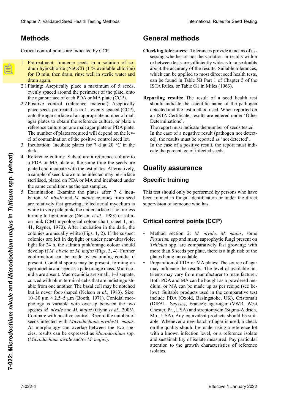## **Métodos Methoden MéthodesMethods**

Critical control points are indicated by CCP.

- 1. Pretreatment: Immerse seeds in a solution of so-Pretreatment: Immerse seeds in a solution of so-<br>dium hypochlorite (NaOCl) (1 % available chlorine) for 10 min, then drain, rinse well in sterile water and drain again. Wasser gut abspülen und abspülen und abspülen und abspülen lassen. Pretreatment: Immerse seeds in a solution of so-<br>dium hypochlorite (NaOCl) (1 % available chlorine)<br>for 10 min, then drain, rinse well in sterile water and<br>drain again.
- 2.1 Plating: Aseptically place a maximum of 5 seeds, evenly spaced around the perimeter of the plate, onto evenly spaced around the perimeter of the plate, onto<br>the agar surface of each PDA or MA plate (CCP). 2.1 Plating: Aseptically place a maximum of 5 seeds,<br>evenly spaced around the perimeter of the plate, onto<br>the agar surface of each PDA or MA plate (CCP).<br>2.2 Positive control (reference material): Aseptically
- 2.2 Positive control (reference material): Aseptically place seeds pretreated as in 1., evenly spaced (CCP), place seeds pretreated as in 1., evenly spaced (CCP), onto the agar surface of an appropriate number of malt place seeds pretreated as in 1., evenly spaced (CCP),<br>onto the agar surface of an appropriate number of malt<br>agar plates to obtain the reference culture, or plate a reference culture on one malt agar plate or PDA plate. The number of plates required will depend on the level of contamination of the positive control seed lot. The number of plates required will depend on the level of contamination of the positive control seed lot.<br>Incubation: Incubate plates for 7 d at 20 °C in the agar plates to obtain the reference culture, or plate a<br>reference culture on one malt agar plate or PDA plate.<br>The number of plates required will depend on the lev-<br>el of contamination of the positive control seed lot.<br>Inc reference culture on one malt agar plate or PDA plate.<br>The number of plates required will depend on the lev-
- dark. **de contaminación de contaminación de contaminación de contaminación de semi**dark. niveau dan de contamination du lot de semences servant du lot de semences servant de semences servant de serva 3. Incubation: Incubate plates for 7 d at 20  $^{\circ}$ C in the dark.
- 4. Reference culture: Subculture a reference culture to a PDA or MA plate at the same time the seeds are a PDA or MA plate at the same time the seeds are plated and incubate with the test plates. Alternatively, plated and incubate with the test plates. Alternatively,<br>a sample of seed known to be infected may be surface sterilised, plated on PDA or MA and incubated under the same conditions as the test samples.
- the same conditions as the test samples.<br>Examination: Examine the plates after 7 d incubation. *M. nivale* and *M. majus* colonies from seed are relatively fast growing; felted aerial mycelium is are relatively fast growing; felted aerial mycelium is<br>white to very pale pink, the undersurface is colourless white to very pale pink, the undersurface is colourless<br>turning to light orange (Nelson *et al.*, 1983) or salm-<br>on pink (CMI mycological colour chart, sheet 1, no. on pink (CMI mycological colour chart, sheet 1, no. 41, Rayner, 1970). After incubation in the dark, the 41, Rayner, 1970). After incubation in the dark, the colonies are usually white (Figs. 1, 2). If the suspect colonies are left in daylight or under near-ultraviolet colonies are left in daylight or under near-ultraviolet light for 24 h, the salmon pink/orange colour should colonies are usually white (Figs. 1, 2). If the suspect<br>colonies are left in daylight or under near-ultraviolet<br>light for 24 h, the salmon pink/orange colour should<br>develop if *M. nivale* or *M. majus* (Figs. 3, 4). Furthe develop if *M. nivale* or *M. majus* (Figs. 3, 4). Further confirmation can be made by examining conidia if present. Conidial spores may be present, forming on sporodochia and seen as a pale orange mass. Microcosporodochia and seen as a pale orange mass. Microco-<br>nidia are absent. Macroconidia are small, 1–3 septate,<br>curved with blunt terminal cells that are indistinguishcurved with blunt terminal cells that are indistinguishable from one another. The basal cell may be notched but is never foot-shaped (Nelson *et al.*, 1983). Size: 10-30  $\mu$ m × 2.5-5  $\mu$ m (Booth, 1971). Conidial mor-10–30  $\mu$ m × 2.5–5  $\mu$ m (Booth, 1971). Conidial morphology is variable with overlap between the two phology is variable with overlap between the two<br>species *M. nivale* and *M. majus* (Glynn *et al.*, 2005). species *M. nivale* and *M. majus* (Glynn *et al.*, 2005).<br>Compare with positive control. Record the number of seeds infected with Microdochium nivale/M. majus. As morphology can overlap between the two species, results can be expressed as *Microdochium* spp.<br>(*Microdochium nivale* and/or *M. majus*). (Microdochium nivale and/or  $M$ . majus). Clearly 7. Validated Seed Hewita Bellin ab 1. Guidel Controll international Clearly Seed Herita Controll international Absorption and the Clearly Section and Saats and Saats and Saats and Saats and Saats and Saats and Saa Chever 7 Validient See Treating the Chever The Host and Research Chever The Transformation of the Chever Theorem Chever Theorem Chever The Chever The Chever Theorem Chever The Chever The Chever The Chever The Chever The C rences sterilised, plated on PDA or MA and incubated under<br>the same conditions as the test samples.<br>Examination: Examine the plates after 7 d incu-<br>bation. *M. nivale* and *M. majus* colonies from seed able from one another. The basal cell may be notched<br>but is never foot-shaped (Nelson *et al.*, 1983). Size:<br>10–30  $\mu$ m × 2.5–5  $\mu$ m (Booth, 1971). Conidial mor-<br>phology is variable with overlap between the two Compare with positive control. Record the number of<br>seeds infected with *Microdochium nivale/M. majus*.<br>As morphology can overlap between the two spe-**Effective columns:** Subdurban and inclusion a reference collisting and included in the space of the space of the space of the space of the space of the space of the space of the space of the space of the space of the spa 5. Examination: Examine the plates after 7 d incunidia are absent. Macroconidia are small, 1–3 septate,

# **General methods**

- Checking tolerances: Tolerances provide a means of assessing whether or not the variation in results within or between tests are sufficiently wide as to raise doubts about the accuracy of the results. Suitable tolerances, about the accuracy of the results. Suitable tolerances,<br>which can be applied to most direct seed health tests, can be found in Table 5B Part 1 of Chapter 5 of the ISTA Rules, or Table G1 in Miles (1963). **ISTA Rules, or Table G1 in Miles (1963). ecking tolerances:** Tolerances provide a means of assessing whether or not the variation in results within or between tests are sufficiently wide as to raise doubts. sessing whether or not the variation in results within
- Reporting results: The result of a seed health test detected and the test method used. When reported on detected and the test method used. When reported on<br>an ISTA Certificate, results are entered under 'Other Determinations'. should indicate the scientific name of the pathogen an ISTA Certificate, results are entered under 'Other Determinations'.

Determinations'.<br>The report must indicate the number of seeds tested. an ISTA Certificate, results are entered under 'Other<br>Determinations'.<br>The report must indicate the number of seeds tested.<br>In the case of a negative result (pathogen not detected), the results must be reported as 'not detected'.

In the case of a positive result, the report must indicate the percentage of infected seeds. cate the percentage of infected seeds.

#### **Quality assurance** verwendete Methode enthalten. Bei Berichterstattung

## patógeno detectado y el método de análisis utilizado. Der Prüfbericht muss die Anzahl untersuchter Samen **Specific training**

**Quality assurance**<br>**Specific training**<br>This test should only be performed by persons who have been trained in fungal identification or under the direct<br>supervision of someone who has. supervision of someone who has.

## Critical control points (CCP)

- Method section 2: *M. nivale, M. majus*, some more than 5 seeds per plate, there is a high risk of the Triticum spp. are comparatively fast growing; with plates being unreadable. *Fusarium* spp and many saprophytic fungi present on
- Preparation of PDA or MA plates: The source of agar trients may vary from manufacturer to manufacturer. Both PDA and MA can be bought as a powdered me-Both PDA and MA can be bought as a powdered me-<br>dium, or MA can be made up as per recipe (see be-(DIFAL, Seysses, France); agar-agar (VWR, West Chester, Pa., USA) and streptomycin (Sigma-Aldrich, Mo., USA). Any equivalent products should be suitable. Whenever a new batch of agar is used, a check<br>on the quality should be made, using a reference lot on the quality should be made, using a reference lot on the quality should be made, using a reference lot<br>with a known infection level, or a reference isolate and sustainability of isolate measured. Pay particular may influence the results. The level of available nuinclude PDA (Oxoid, Basingstoke, UK), Cristomalt Chester, Pa., USA) and streptomycin (Sigma-Aldrich, may influence the results. The level of available nutrients may vary from manufacturer to manufacturer.<br>Both PDA and MA can be bought as a powdered metrients may vary from manufacturer to manufacturer. low). Suitable products used in the comparative test attention to the growth characteristics of reference isolates.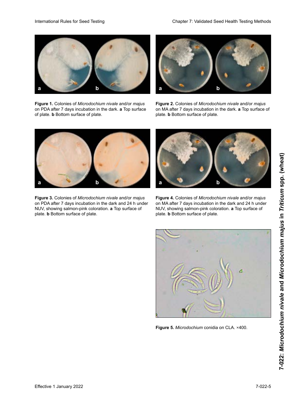

**Figure 1.** Colonies of *Microdochium nivale* and/or *majus* on PDA after 7 days incubation in the dark. **a** Top surface of plate. **b** Bottom surface of plate.



**Figure 2.** Colonies of Microdochium nivale and/or majus on MA after 7 days incubation in the dark. a Top surface of plate. **b** Bottom surface of plate.



**Figure 3.** Colonies of *Microdochium nivale* and/or *majus* on PDA after 7 days incubation in the dark and 24 h under NUV, showing salmon-pink coloration. **a** Top surface of plate. **b** Bottom surface of plate.



**Figure 4.** Colonies of *Microdochium nivale* and/or *majus* on MA after 7 days incubation in the dark and 24 h under on MA after 7 days incubation in the dark and 24 h under<br>NUV, showing salmon-pink coloration. **a** Top surface of plate. **b** Bottom surface of plate.



Figure 5. Microdochium conidia on CLA. ×400.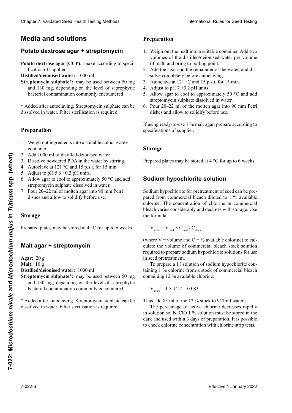# **Medios y soluciones Medien und Lösungen Milieux et solutions Media and solutions**

## **Agar papa dextrosa + estreptomicina Kartoffel-Dextrose-Agar + Streptomycin PDA + streptomycine Potato dextrose agar + streptomycin**

Potato dextrose agar (CCP): make according to speci-<br>fication of supplier fication of supplier

**Distilled/deionised water:** 1000 ml

**Streptomycin sulphate\*:** may be used between 50 mg<br>and 130 mg, depending on the level of saprophytic<br>bacterial contamination commonly encountered<br>\* Added after autoclaving. Streptomycin sulphate can be<br>discolved in water. and 130 mg, depending on the level of saprophytic bacterial contamination commonly encountered

\* Added after autoclaving. Streptomycin sulphate can be dissolved in water. Eilter sterilisation is required dissolved in water. Filter sterilisation is required.

# **Preparación Herstellung Preparation**

- 1. Weign out ingredients into a suitable adtoclavable comamer.<br>. . . . . . . . . .  $\text{F}$ eontainer. 1. Weigh out ingredients into a suitable autoclavable container.
- 2. Aga 1000 ml of afsuited/defonised water. 2. Add 1000 ml di distilled/deionised water. 2. Add 1000 ml of distilled/deionised water.
- 3. Dissolve powdered PDA in the water by still 3. Dissolve powdered PDA in the water by stirring.
- 4. Autoclave at 121 °C and 15 p.s.i. for 15 min.
- 5. Adjust to pH 5.6  $\pm$ 0.2 pH units.
- 6. Allow agar to cool to approximately 50  $\degree$ C and add streptomycin sulphate dissolved in water.
- 7. Pour 20–22 ml of molten agar into 90 mm Petri dishes and allow to solidify before use.

#### $\bf Storage$

Prepared plates may be stored at 4 °C for up to 6 weeks.

#### **Agar malta + estreptomicina Malz-Agar + Streptomycin Mathematics Malt agar + streptomycin**

**Agar:** 20 g

**Malt:** 10 g

**Distilled/deionised water:** 1000 ml

**Streptomycin sulphate\*:** may be used between 50 mg and 130 mg, depending on the level of saprophytic<br>bacterial contamination commonly encountered.  $\frac{30}{10}$  mg, dependientes de commons de contamination commons de contamination de contamination de contamination de contamination de contamination de contamination de contamination de contamination de contamination de bacterial contamination commonly encountered.

\*Agregar des de esterne de este de este de este de este de este de este de este de este de este de este de este de este de este de este de este de este de este de este de este de este de este de este de este de este de est dissolved in water. I her stermstation is required. dissolved in water. Filter sterilisation is required. \* Added after autoclaving. Streptomycin sulphate can be

## **Preparation**

- 1. Weigh out the malt into a suitable container. Add two volumes of the distilled/deionised water per volume of malt, and bring to boiling point.
- 2. Add the agar and the remainder of the water, and dissolve completely before autoclaving.
- 3. Autoclave at 121 °C and 15 p.s.i. for 15 min.
- 4. Adjust to pH  $7 \pm 0.2$  pH units.
- 5. Allow agar to cool to approximately 50  $^{\circ}$ C and add streptomycin sulphate dissolved in water.
- 6. Verter 20–22 ml de agar fundido en placas de Petri de gelöste Streptomycinsulfat zufügen. Verser 20–22 ml de l'agar dans des boîtes de Pétri de 6. Pour 20–22 ml of the molten agar into 90 mm Petri 90 mm 20–22 mm et die metrien agar. mee 90 mm Petrisch<br>dishes and allow to solidify before use gibites und wird vor der Bertain gestere user. 1900 E and allow to solidify before use.

 $\frac{1}{2}$  se utilizative agar de malta agar usar usar usar usar usar, preparar usar, prepararlocal usar, prepararlocal usar, prepararlocal usar, prepararlocal usar, prepararlocal usar, prepararlocal usar, prepararlocal us If using ready-to-use 1 % malt agar, prepare according to specifications of supplier.

#### **Almacenaje L**age **Storage**

Las placas preparadas pueden almacenarse a 4 °C hasta Prepared plates may be stored at 4 °C for up to 6 weeks. Des boîtes peuvent être stockées à 4 °C pendant 6 semaines. Prepared plates may be stored at 4 °C for up to 6 weeks.

#### Sodium hypochlorite solution **Solution d'hypochlorite de sodium Sodium hypochlorite solution**

Sodium hypochlorite for pretreatment of seed can be prepared from commercial bleach diluted to 1 % available chlorine. The concentration of chlorine in commercial bleach varies considerably and declines with storage. Use the formula: the formula: Usar la formula: Clearly 7. Validierte See Theories (1. Januar 2022) ab the spectral control of the spectral control of the spectral control of the spectral control of the spectral control of the spectral control of the spectral control o Cheape 7 Voldskeis Seed Heelli Teatric Model<br> **Media and Solution**<br> **Media and Solution**<br> **Proparation**<br> **Proparation**<br> **Proparation**<br> **Proparation**<br> **Proparation**<br> **Proparation**<br> **Proparation**<br> **Proparation**<br> **Proparatio** Sodium hypochlorite for pretreatment of seed can be pre-**EFFECT ASSUMM** on the dualited consistent water. The space of the space of the space of the space of the space of the space of the space of the space of the space of the space of the space of the space of the space of th

$$
V_{\text{stock}} = V_{\text{final}} \times C_{\text{final}} / C_{\text{stock}}
$$

(where  $V =$  volume and  $C = %$  available chlorine) to calculate the volume of commercial bleach stock solution culate the volume of commercial bleach stock solution required to prepare sodium hypochlorite solutions for use in seed pretreatment.

To prepare a 1 l solution of sodium hypochlorite containing 1 % chlorine from a stock of commercial bleach containing 12 % available chlorine: mittels, welches für die Herstellung der Natriumhypoch-Vstock = 1 **×** 1/12 = 0,083

$$
V_{\text{stock}} = 1 \times 1/12 = 0.083
$$

Thus add 83 ml of the 12 % stock to 917 ml water.<br>The negative of estimately degrees are illu-

Thus did by the of the 12 % stock to 91% in water.<br>The percentage of active chlorine decreases rapidly in solution so, NaClO 1 % solution must be stored in the  $\frac{1}{1}$   $\frac{1}{1}$   $\frac{1}{1}$   $\frac{1}{1}$   $\frac{1}{2}$   $\frac{1}{2}$   $\frac{1}{2}$   $\frac{1}{2}$   $\frac{1}{2}$   $\frac{1}{2}$   $\frac{1}{2}$   $\frac{1}{2}$   $\frac{1}{2}$   $\frac{1}{2}$   $\frac{1}{2}$   $\frac{1}{2}$   $\frac{1}{2}$   $\frac{1}{2}$   $\frac{1}{2}$   $\frac{1}{2}$   $\frac{1}{2}$   $\frac{1}{2}$   $\frac{1}{2}$  dark and used whilm y uays of preparation. It is possible to check chiornie concentration with chiornie strip tests. dark and used whilm 3 days of preparation. It is possible to check chlorine concentration with chlorine strip tests. Thus ded 65 hh of the 12 % stock to 517 hh water.<br>The percentage of active chlorine decreases rapidly<br>in solution so, NaClO 1 % solution must be stored in the<br>dark and used within 3 days of preparation. It is possible